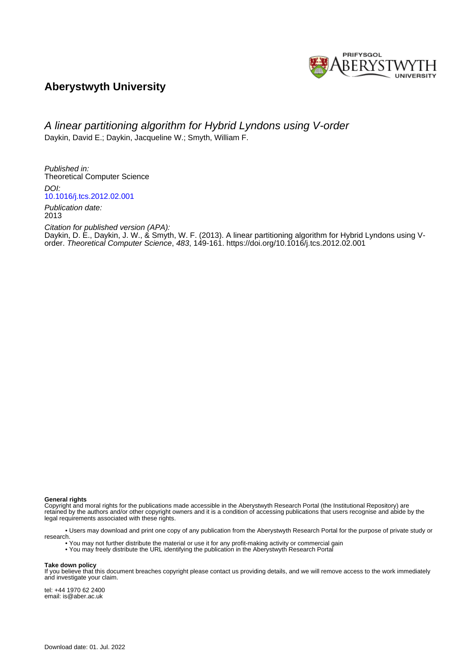

# **Aberystwyth University**

# A linear partitioning algorithm for Hybrid Lyndons using V-order Daykin, David E.; Daykin, Jacqueline W.; Smyth, William F.

Published in: Theoretical Computer Science DOI:

[10.1016/j.tcs.2012.02.001](https://doi.org/10.1016/j.tcs.2012.02.001)

Publication date: 2013

Citation for published version (APA): Daykin, D. E[., Daykin, J. W.,](https://pure.aber.ac.uk/portal/en/persons/jacqueline-daykin(16bf36d7-bde2-4a56-9768-9daed3ddcf05).html) & Smyth, W. F. (2013). [A linear partitioning algorithm for Hybrid Lyndons using V](https://pure.aber.ac.uk/portal/en/publications/a-linear-partitioning-algorithm-for-hybrid-lyndons-using-vorder(5fc0f595-b919-4ecd-8528-d855c0923b9c).html)[order](https://pure.aber.ac.uk/portal/en/publications/a-linear-partitioning-algorithm-for-hybrid-lyndons-using-vorder(5fc0f595-b919-4ecd-8528-d855c0923b9c).html). Theoretical Computer Science, 483, 149-161.<https://doi.org/10.1016/j.tcs.2012.02.001>

## **General rights**

Copyright and moral rights for the publications made accessible in the Aberystwyth Research Portal (the Institutional Repository) are retained by the authors and/or other copyright owners and it is a condition of accessing publications that users recognise and abide by the legal requirements associated with these rights.

 • Users may download and print one copy of any publication from the Aberystwyth Research Portal for the purpose of private study or research.

• You may not further distribute the material or use it for any profit-making activity or commercial gain

• You may freely distribute the URL identifying the publication in the Aberystwyth Research Portal

#### **Take down policy**

If you believe that this document breaches copyright please contact us providing details, and we will remove access to the work immediately and investigate your claim.

tel: +44 1970 62 2400 email: is@aber.ac.uk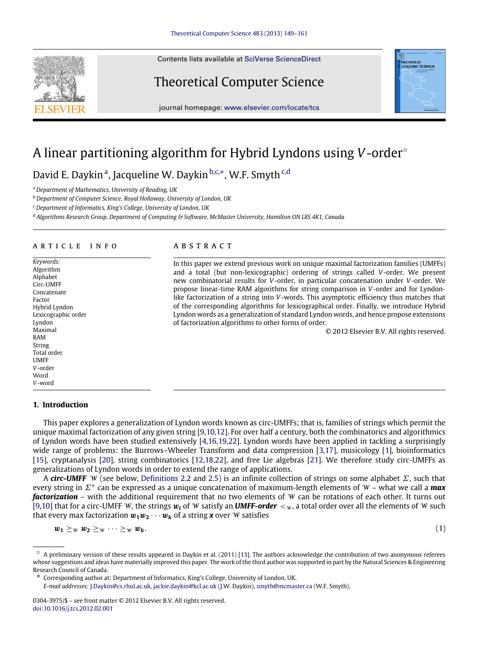Contents lists available at [SciVerse ScienceDirect](http://www.elsevier.com/locate/tcs)

# Theoretical Computer Science



In this paper we extend previous work on unique maximal factorization families (UMFFs) and a total (but non-lexicographic) ordering of strings called *V*-order. We present new combinatorial results for *V*-order, in particular concatenation under *V*-order. We propose linear-time RAM algorithms for string comparison in *V*-order and for Lyndonlike factorization of a string into *V*-words. This asymptotic efficiency thus matches that of the corresponding algorithms for lexicographical order. Finally, we introduce Hybrid Lyndon words as a generalization of standard Lyndon words, and hence propose extensions

# A linear partitioning algorithm for Hybrid Lyndons using *V*-order[✩](#page-1-0)

D[a](#page-1-1)vid E. Daykin<sup>a</sup>, Jacqueline W. Daykin <sup>[b,](#page-1-2)[c,](#page-1-3)\*</sup>, W.F. Smyth <sup>c,[d](#page-1-5)</sup>

<span id="page-1-1"></span><sup>a</sup> *Department of Mathematics, University of Reading, UK*

<span id="page-1-2"></span><sup>b</sup> *Department of Computer Science, Royal Holloway, University of London, UK*

<span id="page-1-3"></span><sup>c</sup> *Department of Informatics, King's College, University of London, UK*

<span id="page-1-5"></span><sup>d</sup> *Algorithms Research Group, Department of Computing & Software, McMaster University, Hamilton ON L8S 4K1, Canada*

a b s t r a c t

### a r t i c l e i n f o

*Keywords:* Algorithm Alphabet Circ-UMFF Concatenate Factor Hybrid Lyndon Lexicographic order Lyndon Maximal RAM String Total order UMFF *V*-order Word *V*-word

## **1. Introduction**

# This paper explores a generalization of Lyndon words known as circ-UMFFs; that is, families of strings which permit the unique maximal factorization of any given string [\[9,](#page-13-0)[10](#page-13-1)[,12\]](#page-13-2). For over half a century, both the combinatorics and algorithmics of Lyndon words have been studied extensively [\[4](#page-13-3)[,16,](#page-13-4)[19](#page-13-5)[,22\]](#page-13-6). Lyndon words have been applied in tackling a surprisingly wide range of problems: the Burrows–Wheeler Transform and data compression [\[3](#page-13-7)[,17\]](#page-13-8), musicology [\[1\]](#page-13-9), bioinformatics [\[15\]](#page-13-10), cryptanalysis [\[20\]](#page-13-11), string combinatorics [\[12](#page-13-2)[,18](#page-13-12)[,22\]](#page-13-6), and free Lie algebras [\[21\]](#page-13-13). We therefore study circ-UMFFs as generalizations of Lyndon words in order to extend the range of applications.

of factorization algorithms to other forms of order.

A *circ-UMFF* W (see below, [Definitions](#page-3-0) [2.2](#page-3-0) and [2.5\)](#page-3-1) is an infinite collection of strings on some alphabet Σ, such that every string in Σ<sup>∗</sup> can be expressed as a unique concatenation of maximum-length elements of W – what we call a *max factorization* – with the additional requirement that no two elements of W can be rotations of each other. It turns out [\[9,](#page-13-0)[10\]](#page-13-1) that for a circ-UMFF W, the strings  $w_i$  of W satisfy an *UMFF-order*  $\lt w_i$ , a total order over all the elements of W such that every max factorization  $w_1w_2\cdots w_k$  of a string **x** over W satisfies

$$
w_1 \geq_{\mathcal{W}} w_2 \geq_{\mathcal{W}} \cdots \geq_{\mathcal{W}} w_k. \tag{1}
$$

<span id="page-1-6"></span>





© 2012 Elsevier B.V. All rights reserved.

<span id="page-1-0"></span> $\hat{\phi}$  A preliminary version of these results appeared in Daykin et al. (2011) [\[13\]](#page-13-14). The authors acknowledge the contribution of two anonymous referees whose suggestions and ideas have materially improved this paper. The work of the third author was supported in part by the Natural Sciences & Engineering Research Council of Canada.

<span id="page-1-4"></span><sup>∗</sup> Corresponding author at: Department of Informatics, King's College, University of London, UK.

*E-mail addresses:* [J.Daykin@cs.rhul.ac.uk,](mailto:J.Daykin@cs.rhul.ac.uk) [jackie.daykin@kcl.ac.uk](mailto:jackie.daykin@kcl.ac.uk) (J.W. Daykin), [smyth@mcmaster.ca](mailto:smyth@mcmaster.ca) (W.F. Smyth).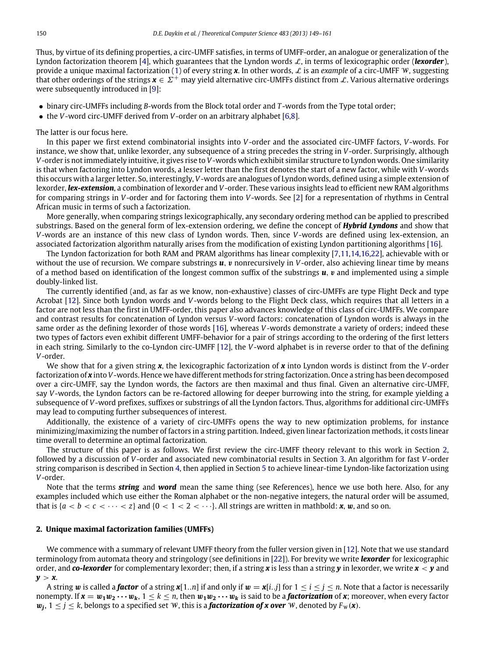Thus, by virtue of its defining properties, a circ-UMFF satisfies, in terms of UMFF-order, an analogue or generalization of the Lyndon factorization theorem [\[4\]](#page-13-3), which guarantees that the Lyndon words  $\mathcal{L}$ , in terms of lexicographic order (*lexorder*), provide a unique maximal factorization [\(1\)](#page-1-6) of every string *x*. In other words, L is an *example* of a circ-UMFF W, suggesting that other orderings of the strings  $x \in \Sigma^+$  may yield alternative circ-UMFFs distinct from L. Various alternative orderings were subsequently introduced in [\[9\]](#page-13-0):

- binary circ-UMFFs including *B*-words from the Block total order and *T* -words from the Type total order;
- the *V*-word circ-UMFF derived from *V*-order on an arbitrary alphabet [\[6,](#page-13-15)[8\]](#page-13-16).

The latter is our focus here.

In this paper we first extend combinatorial insights into *V*-order and the associated circ-UMFF factors, *V*-words. For instance, we show that, unlike lexorder, any subsequence of a string precedes the string in *V*-order. Surprisingly, although *V*-order is not immediately intuitive, it gives rise to *V*-words which exhibit similar structure to Lyndon words. One similarity is that when factoring into Lyndon words, a lesser letter than the first denotes the start of a new factor, while with *V*-words this occurs with a larger letter. So, interestingly, *V*-words are analogues of Lyndon words, defined using a simple extension of lexorder, *lex-extension*, a combination of lexorder and *V*-order. These various insights lead to efficient new RAM algorithms for comparing strings in *V*-order and for factoring them into *V*-words. See [\[2\]](#page-13-17) for a representation of rhythms in Central African music in terms of such a factorization.

More generally, when comparing strings lexicographically, any secondary ordering method can be applied to prescribed substrings. Based on the general form of lex-extension ordering, we define the concept of *Hybrid Lyndons* and show that *V*-words are an instance of this new class of Lyndon words. Then, since *V*-words are defined using lex-extension, an associated factorization algorithm naturally arises from the modification of existing Lyndon partitioning algorithms [\[16\]](#page-13-4).

The Lyndon factorization for both RAM and PRAM algorithms has linear complexity [\[7,](#page-13-18)[11](#page-13-19)[,14,](#page-13-20)[16](#page-13-4)[,22\]](#page-13-6), achievable with or without the use of recursion. We compare substrings **u**, **v** nonrecursively in *V*-order, also achieving linear time by means of a method based on identification of the longest common suffix of the substrings  $u$ ,  $v$  and implemented using a simple doubly-linked list.

The currently identified (and, as far as we know, non-exhaustive) classes of circ-UMFFs are type Flight Deck and type Acrobat [\[12\]](#page-13-2). Since both Lyndon words and *V*-words belong to the Flight Deck class, which requires that all letters in a factor are not less than the first in UMFF-order, this paper also advances knowledge of this class of circ-UMFFs. We compare and contrast results for concatenation of Lyndon versus *V*-word factors: concatenation of Lyndon words is always in the same order as the defining lexorder of those words [\[16\]](#page-13-4), whereas *V*-words demonstrate a variety of orders; indeed these two types of factors even exhibit different UMFF-behavior for a pair of strings according to the ordering of the first letters in each string. Similarly to the co-Lyndon circ-UMFF [\[12\]](#page-13-2), the *V*-word alphabet is in reverse order to that of the defining *V*-order.

We show that for a given string *x*, the lexicographic factorization of *x* into Lyndon words is distinct from the *V*-order factorization of *x* into *V*-words. Hence we have different methods for string factorization. Once a string has been decomposed over a circ-UMFF, say the Lyndon words, the factors are then maximal and thus final. Given an alternative circ-UMFF, say *V*-words, the Lyndon factors can be re-factored allowing for deeper burrowing into the string, for example yielding a subsequence of *V*-word prefixes, suffixes or substrings of all the Lyndon factors. Thus, algorithms for additional circ-UMFFs may lead to computing further subsequences of interest.

Additionally, the existence of a variety of circ-UMFFs opens the way to new optimization problems, for instance minimizing/maximizing the number of factors in a string partition. Indeed, given linear factorization methods, it costs linear time overall to determine an optimal factorization.

The structure of this paper is as follows. We first review the circ-UMFF theory relevant to this work in Section [2,](#page-2-0) followed by a discussion of *V*-order and associated new combinatorial results in Section [3.](#page-4-0) An algorithm for fast *V*-order string comparison is described in Section [4,](#page-9-0) then applied in Section [5](#page-11-0) to achieve linear-time Lyndon-like factorization using *V*-order.

Note that the terms *string* and *word* mean the same thing (see References), hence we use both here. Also, for any examples included which use either the Roman alphabet or the non-negative integers, the natural order will be assumed, that is  $\{a < b < c < \cdots < z\}$  and  $\{0 < 1 < 2 < \cdots\}$ . All strings are written in mathbold: **x**, **w**, and so on.

### <span id="page-2-0"></span>**2. Unique maximal factorization families (UMFFs)**

We commence with a summary of relevant UMFF theory from the fuller version given in [\[12\]](#page-13-2). Note that we use standard terminology from automata theory and stringology (see definitions in [\[22\]](#page-13-6)). For brevity we write *lexorder* for lexicographic order, and *co-lexorder* for complementary lexorder; then, if a string *x* is less than a string *y* in lexorder, we write *x* < *y* and  $y > x$ .

A string w is called a *factor* of a string  $x[1..n]$  if and only if  $w = x[i..j]$  for  $1 \le i \le j \le n$ . Note that a factor is necessarily nonempty. If  $x = w_1w_2 \cdots w_k$ ,  $1 \le k \le n$ , then  $w_1w_2 \cdots w_k$  is said to be a **factorization** of x; moreover, when every factor  $w_j$ ,  $1 \leq j \leq k$ , belongs to a specified set W, this is a **factorization of x over** W, denoted by  $F_w(\mathbf{x})$ .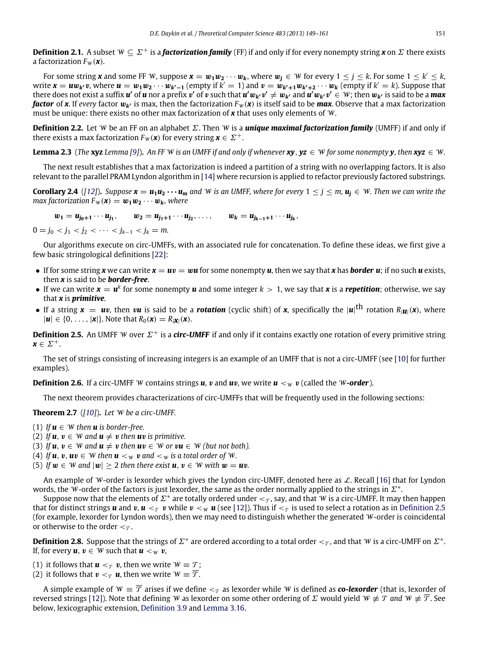**Definition 2.1.** A subset  $W \subseteq \Sigma^+$  is a *factorization family* (FF) if and only if for every nonempty string *x* on  $\Sigma$  there exists a factorization  $F_W(\boldsymbol{x})$ .

For some string **x** and some FF W, suppose  $x = w_1w_2\cdots w_k$ , where  $w_j \in W$  for every  $1 \le j \le k$ . For some  $1 \le k' \le k$ , write  $x = uw_{k'}v$ , where  $u = w_1w_2\cdots w_{k'-1}$  (empty if  $k' = 1$ ) and  $v = w_{k'+1}w_{k'+2}\cdots w_k$  (empty if  $k' = k$ ). Suppose that there does not exist a suffix  $u'$  of  $u$  nor a prefix  $v'$  of  $v$  such that  $u'w_{k'}v' \neq w_{k'}$  and  $u'w_{k'}v' \in W$ ; then  $w_{k'}$  is said to be a max  $\bm{factor}$  of  $\bm{x}$ . If *every* factor  $\bm{w_{k'}}$  is max, then the factorization  $F_{\bm{W}}(\bm{x})$  is itself said to be  $\bm{max}$ . Observe that a max factorization must be unique: there exists no other max factorization of *x* that uses only elements of W.

<span id="page-3-0"></span>**Definition 2.2.** Let W be an FF on an alphabet Σ. Then W is a *unique maximal factorization family* (UMFF) if and only if there exists a max factorization  $F_W(\mathbf{x})$  for every string  $\mathbf{x} \in \Sigma^+$ .

<span id="page-3-3"></span>**Lemma 2.3** (*The* **xyz** *Lemma* [\[9\]](#page-13-0)). An FF W is an UMFF if and only if whenever  $xy, yz \in W$  for some nonempty  $y$ *, then*  $xyz \in W$ .

The next result establishes that a max factorization is indeed a partition of a string with no overlapping factors. It is also relevant to the parallel PRAM Lyndon algorithm in [\[14\]](#page-13-20) where recursion is applied to refactor previously factored substrings.

<span id="page-3-2"></span>**Corollary 2.4** ([\[12\]](#page-13-2)). Suppose  $x = u_1u_2 \cdots u_m$  and W is an UMFF, where for every  $1 \le j \le m$ ,  $u_i \in W$ . Then we can write the *max factorization*  $F_w(\mathbf{x}) = \mathbf{w}_1 \mathbf{w}_2 \cdots \mathbf{w}_k$ *, where* 

$$
w_1 = u_{j_0+1} \cdots u_{j_1}, \qquad w_2 = u_{j_1+1} \cdots u_{j_2}, \ldots, \qquad w_k = u_{j_{k-1}+1} \cdots u_{j_k},
$$

 $0 = j_0 < j_1 < j_2 < \cdots < j_{k-1} < j_k = m.$ 

Our algorithms execute on circ-UMFFs, with an associated rule for concatenation. To define these ideas, we first give a few basic stringological definitions [\[22\]](#page-13-6):

- If for some string **x** we can write  $x = uv = wu$  for some nonempty **u**, then we say that **x** has **border u**; if no such **u** exists, then *x* is said to be *border-free*.
- If we can write  $x = u^k$  for some nonempty  $u$  and some integer  $k > 1$ , we say that  $x$  is a *repetition*; otherwise, we say that *x* is *primitive*.
- If a string  $x = uv$ , then  $vu$  is said to be a **rotation** (cyclic shift) of  $x$ , specifically the  $|u|$ <sup>th</sup> rotation  $R_{|\bm{u}|}(x)$ , where  $|u| \in \{0, \ldots, |x|\}.$  Note that  $R_0(x) = R_{|x|}(x).$

<span id="page-3-1"></span>**Definition 2.5.** An UMFF W over  $\Sigma^+$  is a *circ-UMFF* if and only if it contains exactly one rotation of every primitive string  $x \in \Sigma^{+}$ .

<span id="page-3-6"></span>The set of strings consisting of increasing integers is an example of an UMFF that is not a circ-UMFF (see [\[10\]](#page-13-1) for further examples).

**Definition 2.6.** If a circ-UMFF W contains strings *u*, *v* and *uv*, we write  $u <_w v$  (called the W-order).

<span id="page-3-5"></span>The next theorem provides characterizations of circ-UMFFs that will be frequently used in the following sections:

**Theorem 2.7** (*[\[10\]](#page-13-1)*)**.** *Let* W *be a circ-UMFF.*

- (1) If  $u \in W$  then  $u$  is border-free.
- (2) If  $u, v \in W$  and  $u \neq v$  then  $uv$  is primitive.
- (3) If  $u, v \in W$  and  $u \neq v$  then  $uv \in W$  or  $vu \in W$  *(but not both).*
- (4) If  $u, v, uv \in W$  then  $u <_w v$  and  $<_w w$  is a total order of W.
- (5) If  $w \in W$  and  $|w| > 2$  then there exist  $u, v \in W$  with  $w = uv$ .

An example of W-order is lexorder which gives the Lyndon circ-UMFF, denoted here as  $\mathcal{L}$ . Recall [\[16\]](#page-13-4) that for Lyndon words, the  $\hat{w}$ -order of the factors is just lexorder, the same as the order normally applied to the strings in  $\Sigma^*$ .

Suppose now that the elements of  $\Sigma^*$  are totally ordered under  $<_\tau$ , say, and that  $W$  is a circ-UMFF. It may then happen that for distinct strings *u* and *v*, *u*  $\lt_\tau$  *v* while  $v \lt_\psi u$  (see [\[12\]](#page-13-2)). Thus if  $\lt_\tau$  is used to select a rotation as in [Definition](#page-3-1) [2.5](#page-3-1) (for example, lexorder for Lyndon words), then we may need to distinguish whether the generated  $W$ -order is coincidental or otherwise to the order  $\lt_{\mathcal{T}}$ .

<span id="page-3-4"></span>**Definition 2.8.** Suppose that the strings of  $\Sigma^*$  are ordered according to a total order  $<_\mathcal{T}$ , and that W is a circ-UMFF on  $\Sigma^*$ . If, for every  $u, v \in W$  such that  $u <_W v$ ,

(1) it follows that  $\mathbf{u} <_{\tau} \mathbf{v}$ , then we write  $\mathbf{W} \equiv \mathbf{T}$ ;

(2) it follows that  $v <_\tau u$ , then we write  $W \equiv \overline{\mathcal{T}}$ .

A simple example of  $W = \overline{T}$  arises if we define  $\lt_{T}$  as lexorder while W is defined as *co-lexorder* (that is, lexorder of reversed strings [\[12\]](#page-13-2)). Note that defining W as lexorder on some other ordering of  $\Sigma$  would yield W  $\neq \mathcal{T}$  and W  $\neq \overline{\mathcal{T}}$ . See below, lexicographic extension, [Definition](#page-6-0) [3.9](#page-6-0) and [Lemma](#page-7-0) [3.16.](#page-7-0)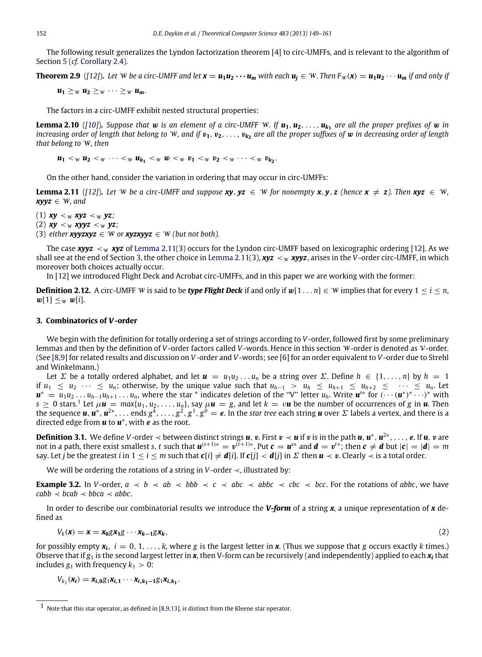The following result generalizes the Lyndon factorization theorem [\[4\]](#page-13-3) to circ-UMFFs, and is relevant to the algorithm of Section [5](#page-11-0) (*cf.* [Corollary](#page-3-2) [2.4\)](#page-3-2).

<span id="page-4-5"></span>**Theorem 2.9** ([\[12\]](#page-13-2)). Let W be a circ-UMFF and let  $x = u_1u_2 \cdots u_m$  with each  $u_i \in W$ . Then  $F_w(x) = u_1u_2 \cdots u_m$  if and only if

 $u_1 \geq w$   $u_2 \geq w$   $\cdots \geq w$   $u_m$ .

The factors in a circ-UMFF exhibit nested structural properties:

<span id="page-4-7"></span>**Lemma 2.10** ([\[10\]](#page-13-1)). Suppose that **w** is an element of a circ-UMFF W. If  $u_1, u_2, \ldots, u_{k_1}$  are all the proper prefixes of **w** in *increasing order of length that belong to* W*, and if* v**1**, v**2**, . . . , v*<sup>k</sup>***<sup>2</sup>** *are all the proper suffixes of* w *in decreasing order of length that belong to* W*, then*

 $u_1 <_{\mathcal{W}} u_2 <_{\mathcal{W}} \cdots <_{\mathcal{W}} u_{k_1} <_{\mathcal{W}} w <_{\mathcal{W}} v_1 <_{\mathcal{W}} v_2 <_{\mathcal{W}} \cdots <_{\mathcal{W}} v_{k_2}$ .

On the other hand, consider the variation in ordering that may occur in circ-UMFFs:

<span id="page-4-1"></span>**Lemma 2.11** ([\[12\]](#page-13-2)). Let W be a circ-UMFF and suppose  $xy, yz \in W$  for nonempty  $x, y, z$  (hence  $x \neq z$ ). Then  $xyz \in W$ . *xyyz* ∈ W*, and*

(1)  $xy < w$ *xyz*  $\lt w$ *yz*; (2)  $xy < w$  *xyyz*  $\lt w$  *yz*;

(3) *either xyyzxyz*  $\in$  *W* or *xyzxyyz*  $\in$  *W* (but not both).

The case *xyyz*  $\lt_\mathbf{w}$  *xyz* of [Lemma](#page-4-1) [2.11\(](#page-4-1)3) occurs for the Lyndon circ-UMFF based on lexicographic ordering [\[12\]](#page-13-2). As we shall see at the end of Section [3,](#page-4-0) the other choice in [Lemma](#page-4-1) [2.11\(](#page-4-1)3),  $xyz <_w xyyz$ , arises in the *V*-order circ-UMFF, in which moreover both choices actually occur.

In [\[12\]](#page-13-2) we introduced Flight Deck and Acrobat circ-UMFFs, and in this paper we are working with the former:

<span id="page-4-6"></span>**Definition 2.12.** A circ-UMFF W is said to be *type Flight Deck* if and only if  $w[1 \dots n] \in W$  implies that for every  $1 \le i \le n$ ,  $w[1] <_{w} w[i]$ .

## <span id="page-4-0"></span>**3. Combinatorics of** *V***-order**

We begin with the definition for totally ordering a set of strings according to *V*-order, followed first by some preliminary lemmas and then by the definition of *V*-order factors called *V*-words. Hence in this section W-order is denoted as V-order. (See [\[8,](#page-13-16)[9\]](#page-13-0) for related results and discussion on *V*-order and *V*-words; see [\[6\]](#page-13-15) for an order equivalent to *V*-order due to Strehl and Winkelmann.)

Let  $\Sigma$  be a totally ordered alphabet, and let  $u = u_1u_2...u_n$  be a string over  $\Sigma$ . Define  $h \in \{1,...,n\}$  by  $h = 1$ if  $u_1$  ≤  $u_2$  · · · ≤  $u_n$ ; otherwise, by the unique value such that  $u_{h-1}$  >  $u_h$  ≤  $u_{h+1}$  ≤  $u_{h+2}$  ≤ · · · ≤  $u_n$ . Let  $\mathbf{u}^* = \overline{u_1 u_2 \dots u_{h-1} u_{h+1} \dots u_n}$ , where the star \* indicates deletion of the "V" letter  $u_h$ . Write  $\mathbf{u}^{**}$  for  $(\cdots (\mathbf{u}^*)^* \cdots)^*$  with  $s\geq 0$  stars.<sup>[1](#page-4-2)</sup> Let  $\mu$ **u**  $=$   $max\{u_1,u_2,\ldots,u_n\}$ , say  $\mu$ **u**  $=$  g, and let  $k = \nu$ **u** be the number of occurrences of g in **u**. Then the sequence  $u, u^*, u^{2*}, \ldots$  ends  $g^k, \ldots, g^2, g^1, g^0 = \varepsilon$ . In the *star tree* each string  $u$  over  $\Sigma$  labels a vertex, and there is a directed edge from *u* to *u* ∗ , with ε as the root.

<span id="page-4-8"></span>**Definition 3.1.** We define *V*-order  $\prec$  between distinct strings *u*, *v*. First  $v \prec u$  if *v* is in the path *u*, *u*<sup>\*</sup>, *u*<sup>2\*</sup>, ..., *e*. If *u*, *v* are not in a path, there exist smallest s, t such that  $u^{(s+1)*} = v^{(\bar{t}+1)*}$ . Put  $c = u^{s*}$  and  $d = v^{t*}$ ; then  $c \neq d$  but  $|c| = |d| = m$ say. Let *j* be the greatest *i* in  $1 \le i \le m$  such that  $c[i] \ne d[i]$ . If  $c[i] \le d[i]$  in  $\Sigma$  then  $u \le v$ . Clearly  $\prec$  is a total order.

We will be ordering the rotations of a string in *V*-order ≺, illustrated by:

<span id="page-4-4"></span>**Example 3.2.** In *V*-order,  $a \prec b \prec ab \prec bbb \prec c \prec abc \prec abbc \prec cbc \prec bccb$ . For the rotations of *abbc*, we have  $cabb \prec bcab \prec bbca \prec abbc.$ 

In order to describe our combinatorial results we introduce the *V-form* of a string *x*, a unique representation of *x* defined as

<span id="page-4-3"></span>
$$
V_k(\mathbf{x}) = \mathbf{x} = \mathbf{x}_0 \mathbf{g} \mathbf{x}_1 \mathbf{g} \cdots \mathbf{x}_{k-1} \mathbf{g} \mathbf{x}_k, \tag{2}
$$

for possibly empty  $x_i$ ,  $i = 0, 1, \ldots, k$ , where *g* is the largest letter in **x**. (Thus we suppose that *g* occurs exactly *k* times.) Observe that if *g*<sup>1</sup> is the second largest letter in *x*, then V-form can be recursively (and independently) applied to each *x<sup>i</sup>* that includes  $g_1$  with frequency  $k_1 > 0$ :

 $V_{k_1}(\mathbf{x_i}) = \mathbf{x_{i,0}}g_1\mathbf{x_{i,1}} \cdots \mathbf{x_{i,k_1-1}}g_1\mathbf{x_{i,k_1}}.$ 

<span id="page-4-2"></span><sup>1</sup> Note that this star operator, as defined in [\[8](#page-13-16)[,9](#page-13-0)[,13\]](#page-13-21), is distinct from the Kleene star operator.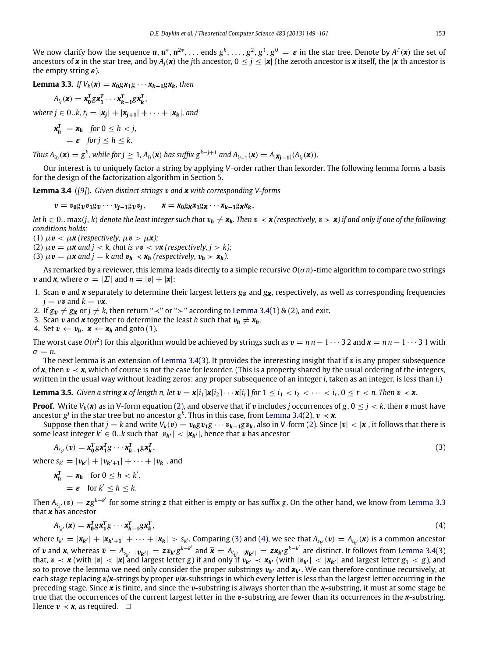We now clarify how the sequence  $u,u^*,u^{2*},\ldots$  ends  $g^k,\ldots,g^2,g^1,g^0\,=\,\pmb{\varepsilon}$  in the star tree. Denote by  $A^T(\pmb{x})$  the set of ancestors of *x* in the star tree, and by  $A_i(x)$  the *j*th ancestor,  $0 \leq j \leq |x|$  (the zeroth ancestor is *x* itself, the |*x*|th ancestor is the empty string  $\varepsilon$ ).

<span id="page-5-1"></span>**Lemma 3.3.** *If*  $V_k(x) = x_0 g x_1 g \cdots x_{k-1} g x_k$ , then

$$
A_{t_j}(\mathbf{x}) = \mathbf{x}_0^T g \mathbf{x}_1^T \cdots \mathbf{x}_{k-1}^T g \mathbf{x}_k^T,
$$

 $where \, j \in 0..k, t_j = |\mathbf{x_j}| + |\mathbf{x_{j+1}}| + \cdots + |\mathbf{x_k}|,$  and

$$
\mathbf{x}_h^T = \mathbf{x}_h \quad \text{for } 0 \le h < j, \\ = \varepsilon \quad \text{for } j \le h \le k.
$$

Thus  $A_{t_0}(\mathbf{x}) = g^k$ , while for  $j \geq 1$ ,  $A_{t_j}(\mathbf{x})$  has suffix  $g^{k-j+1}$  and  $A_{t_{j-1}}(\mathbf{x}) = A_{|\mathbf{X}_{j-1}|}(A_{t_j}(\mathbf{x})).$ 

Our interest is to uniquely factor a string by applying *V*-order rather than lexorder. The following lemma forms a basis for the design of the factorization algorithm in Section [5.](#page-11-0)

<span id="page-5-0"></span>**Lemma 3.4** (*[\[9\]](#page-13-0)*)**.** *Given distinct strings* v *and x with corresponding V-forms*

 $v = v_0 g_v v_1 g_v \cdots v_{i-1} g_v v_i, \qquad x = x_0 g_x x_1 g_x \cdots x_{k-1} g_x x_k,$ 

*let*  $h \in 0$ . max(*j*, *k*) denote the least integer such that  $v_h \neq x_h$ . Then  $v \prec x$  (respectively,  $v \succ x$ ) if and only if one of the following *conditions holds:*

(1)  $\mu \nu < \mu \kappa$  (respectively,  $\mu \nu > \mu \kappa$ );

(2)  $\mu \mathbf{v} = \mu \mathbf{x}$  and  $j < k$ , that is  $\nu \mathbf{v} < \nu \mathbf{x}$  (respectively,  $j > k$ );

(3)  $\mu v = \mu x$  and  $j = k$  and  $v_h \prec x_h$  (respectively,  $v_h \succ x_h$ ).

As remarked by a reviewer, this lemma leads directly to a simple recursive *O*(σ *n*)-time algorithm to compare two strings *v* and *x*, where  $\sigma = |\Sigma|$  and  $n = |v| + |\mathbf{x}|$ :

- 1. Scan *v* and *x* separately to determine their largest letters  $g_v$  and  $g_x$ , respectively, as well as corresponding frequencies  $j = \nu \mathbf{v}$  and  $k = \nu \mathbf{x}$ .
- 2. If  $g_v \neq g_x$  or  $j \neq k$ , then return "≺" or "≻" according to [Lemma](#page-5-0) [3.4\(](#page-5-0)1) & (2), and exit.
- 3. Scan *v* and *x* together to determine the least *h* such that  $v_h \neq x_h$ .

4. Set  $v \leftarrow v_h$ ,  $x \leftarrow x_h$  and goto (1).

The worst case  $O(n^2)$  for this algorithm would be achieved by strings such as  $v = n n - 1 \cdots 3$  2 and  $x = n n - 1 \cdots 3$  1 with  $\sigma = n$ .

The next lemma is an extension of [Lemma](#page-5-0) [3.4\(](#page-5-0)3). It provides the interesting insight that if  $v$  is any proper subsequence of **x**, then  $v \prec x$ , which of course is not the case for lexorder. (This is a property shared by the usual ordering of the integers, written in the usual way without leading zeros: any proper subsequence of an integer *i*, taken as an integer, is less than *i*.)

<span id="page-5-4"></span>**Lemma 3.5.** Given a string **x** of length n, let  $v = x[i_1]x[i_2]\cdots x[i_r]$  for  $1 \le i_1 < i_2 < \cdots < i_r$ ,  $0 \le r < n$ . Then  $v \prec x$ .

**Proof.** Write  $V_k(x)$  as in V-form equation [\(2\)](#page-4-3), and observe that if v includes *j* occurrences of *g*,  $0 \le j \le k$ , then v must have ancestor  $g^j$  in the star tree but no ancestor  $g^k$ . Thus in this case, from [Lemma](#page-5-0) [3.4\(](#page-5-0)2),  $\boldsymbol{v} \prec \boldsymbol{x}$ .

Suppose then that  $j = k$  and write  $V_k(v) = v_0 g v_1 g \cdots v_{k-1} g v_k$ , also in V-form [\(2\)](#page-4-3). Since  $|v| < |x|$ , it follows that there is some least integer  $k' \in 0..k$  such that  $|\hat{v}_{k'}| < |x_{k'}|$ , hence that v has ancestor

$$
A_{s_{k'}}(v) = \mathbf{x}_0^T g \mathbf{x}_1^T g \cdots \mathbf{x}_{k-1}^T g \mathbf{x}_k^T,
$$

where  $s_{k'} = |v_{k'}| + |v_{k'+1}| + \cdots + |v_k|$ , and

$$
\mathbf{x}_h^T = \mathbf{x}_h \quad \text{for } 0 \le h < k',
$$
\n
$$
= \varepsilon \quad \text{for } k' \le h \le k.
$$

Then  $A_{s_{\nu'}}(\bm{v})=zg^{k-k'}$  for some string  $\bm{z}$  that either is empty or has suffix g. On the other hand, we know from [Lemma](#page-5-1) [3.3](#page-5-1) *k* that *x* has ancestor

<span id="page-5-3"></span>
$$
A_{t_{k'}}(\mathbf{x}) = \mathbf{x}_0^T g \mathbf{x}_1^T g \cdots \mathbf{x}_{k-1}^T g \mathbf{x}_k^T,
$$
\n<sup>(4)</sup>

where  $t_{k'} = |\mathbf{x}_{k'}| + |\mathbf{x}_{k'+1}| + \cdots + |\mathbf{x}_k| > s_{k'}$ . Comparing [\(3\)](#page-5-2) and [\(4\)](#page-5-3), we see that  $A_{s_{k'}}(\mathbf{v}) = A_{t_{k'}}(\mathbf{x})$  is a common ancestor of v and x, whereas  $\overline{v} = A_{s_{k'}-|\boldsymbol{v_{k'}}|} = z v_{k'} g^{k-k'}$  and  $\overline{x} = A_{t_{k'}-|\boldsymbol{X_{k'}}|} = z x_{k'} g^{k-k'}$  are distinct. It follows from [Lemma](#page-5-0) [3.4\(](#page-5-0)3) that,  $v \prec x$  (with  $|v| < |x|$  and largest letter *g*) if and only if  $v_{k'} \prec x_{k'}$  (with  $|v_{k'}| < |x_{k'}|$  and largest letter  $g_1 < g$ ), and so to prove the lemma we need only consider the proper substrings  $v_{k'}$  and  $x_{k'}$ . We can therefore continue recursively, at each stage replacing v/*x*-strings by proper v/*x*-substrings in which every letter is less than the largest letter occurring in the preceding stage. Since *x* is finite, and since the v-substring is always shorter than the *x*-substring, it must at some stage be true that the occurrences of the current largest letter in the v-substring are fewer than its occurrences in the *x*-substring. Hence  $v \prec x$ , as required.  $\square$ 

<span id="page-5-2"></span>,  $(3)$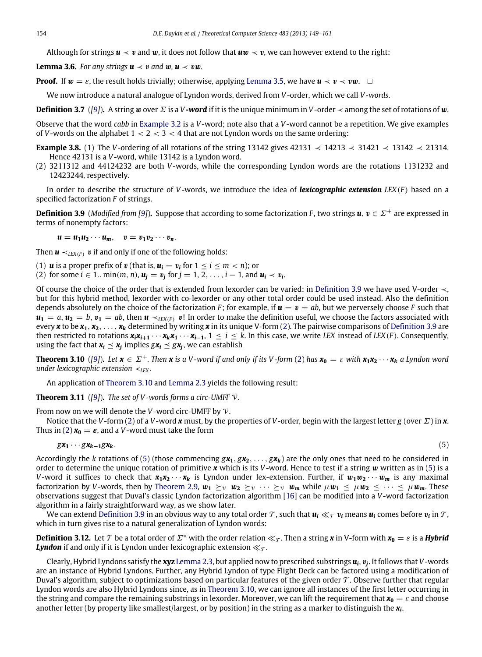Although for strings  $u \prec v$  and w, it does not follow that  $uw \prec v$ , we can however extend to the right:

**Lemma 3.6.** *For any strings*  $u \lt v$  *and*  $w, u \lt v w$ *.* 

**Proof.** If  $w = \varepsilon$ , the result holds trivially; otherwise, applying [Lemma](#page-5-4) [3.5,](#page-5-4) we have  $u \prec v \prec vw$ .  $\Box$ 

We now introduce a natural analogue of Lyndon words, derived from *V*-order, which we call *V -words*.

**Definition 3.7** ([\[9\]](#page-13-0)). A string w over  $\Sigma$  is a *V-word* if it is the unique minimum in *V*-order  $\prec$  among the set of rotations of w.

Observe that the word *cabb* in [Example](#page-4-4) [3.2](#page-4-4) is a *V*-word; note also that a *V*-word cannot be a repetition. We give examples of *V*-words on the alphabet  $1 < 2 < 3 < 4$  that are not Lyndon words on the same ordering:

- <span id="page-6-3"></span>**Example 3.8.** (1) The *V*-ordering of all rotations of the string 13142 gives 42131 ≺ 14213 ≺ 31421 ≺ 13142 ≺ 21314. Hence 42131 is a *V*-word, while 13142 is a Lyndon word.
- (2) 3211312 and 44124232 are both *V*-words, while the corresponding Lyndon words are the rotations 1131232 and 12423244, respectively.

In order to describe the structure of *V*-words, we introduce the idea of *lexicographic extension LEX*(*F* ) based on a specified factorization *F* of strings.

<span id="page-6-0"></span>**Definition 3.9** (*Modified from [\[9\]](#page-13-0)*). Suppose that according to some factorization *F*, two strings  $u, v \in \Sigma^+$  are expressed in terms of nonempty factors:

 $u = u_1 u_2 \cdots u_m, \quad v = v_1 v_2 \cdots v_n.$ 

Then  $\mathbf{u} \prec_{IEX(F)} \mathbf{v}$  if and only if one of the following holds:

(1) **u** is a proper prefix of **v** (that is,  $u_i = v_i$  for  $1 \le i \le m < n$ ); or (2) for some *i* ∈ 1.. min(*m*, *n*),  $u_j = v_j$  for *j* = 1, 2, . . . , *i* − 1, and  $u_i \prec v_i$ .

Of course the choice of the order that is extended from lexorder can be varied: in [Definition](#page-6-0) [3.9](#page-6-0) we have used V-order ≺, but for this hybrid method, lexorder with co-lexorder or any other total order could be used instead. Also the definition depends absolutely on the choice of the factorization *F*; for example, if  $u = v = ab$ , but we perversely choose *F* such that  $u_1 = a, u_2 = b, v_1 = ab$ , then  $u \prec_{IFX(F)} v!$  In order to make the definition useful, we choose the factors associated with every x to be  $x_1, x_2, \ldots, x_k$  determined by writing x in its unique V-form [\(2\)](#page-4-3). The pairwise comparisons of [Definition](#page-6-0) [3.9](#page-6-0) are then restricted to rotations  $x_i x_{i+1} \cdots x_k x_1 \cdots x_{i-1}$ ,  $1 \le i \le k$ . In this case, we write LEX instead of LEX (F). Consequently, using the fact that  $x_i \le x_j$  implies  $gx_i \le gx_j$ , we can establish

<span id="page-6-1"></span>**Theorem 3.10** ([\[9\]](#page-13-0)). Let  $x \in \Sigma^+$ . Then x is a V-word if and only if its V-form [\(2\)](#page-4-3) has  $x_0 = \varepsilon$  with  $x_1x_2 \cdots x_k$  a Lyndon word *under lexicographic extension* ≺*LEX .*

An application of [Theorem](#page-6-1) [3.10](#page-6-1) and [Lemma](#page-3-3) [2.3](#page-3-3) yields the following result:

**Theorem 3.11** (*[\[9\]](#page-13-0)*)**.** *The set of V -words forms a circ-UMFF* V*.*

From now on we will denote the *V*-word circ-UMFF by V.

Notice that the *V*-form [\(2\)](#page-4-3) of a *V*-word *x* must, by the properties of *V*-order, begin with the largest letter *g* (over Σ) in *x*. Thus in [\(2\)](#page-4-3)  $x_0 = \varepsilon$ , and a *V*-word must take the form

<span id="page-6-2"></span>
$$
g\mathbf{x}_1\cdots g\mathbf{x}_{k-1}g\mathbf{x}_k. \tag{5}
$$

Accordingly the *k* rotations of [\(5\)](#page-6-2) (those commencing  $gx_1, gx_2, \ldots, gx_k$ ) are the only ones that need to be considered in order to determine the unique rotation of primitive *x* which is its *V*-word. Hence to test if a string w written as in [\(5\)](#page-6-2) is a *V*-word it suffices to check that  $x_1x_2 \cdots x_k$  is Lyndon under lex-extension. Further, if  $w_1w_2 \cdots w_m$  is any maximal factorization by *V*-words, then by [Theorem](#page-4-5) [2.9,](#page-4-5)  $w_1 \geq_V w_2 \geq_V \cdots \geq_V w_m$  while  $\mu w_1 \leq \mu w_2 \leq \cdots \leq \mu w_m$ . These observations suggest that Duval's classic Lyndon factorization algorithm [\[16\]](#page-13-4) can be modified into a *V*-word factorization algorithm in a fairly straightforward way, as we show later.

We can extend [Definition](#page-6-0) [3.9](#page-6-0) in an obvious way to any total order  $\tau$  , such that  $u_i\ll_\tau v_i$  means  $u_i$  comes before  $v_i$  in  $\tau$  , which in turn gives rise to a natural generalization of Lyndon words:

**Definition 3.12.** Let  $\mathcal{T}$  be a total order of  $\Sigma^*$  with the order relation  $\ll_{\mathcal{T}}$ . Then a string *x* in V-form with  $x_0 = \varepsilon$  is a **Hybrid** *Lyndon* if and only if it is Lyndon under lexicographic extension  $\ll_{\tau}$ .

Clearly, Hybrid Lyndons satisfy the **xyz** [Lemma](#page-3-3) [2.3,](#page-3-3) but applied now to prescribed substrings *u<sup>i</sup>* , v*j* . It follows that *V*-words are an instance of Hybrid Lyndons. Further, any Hybrid Lyndon of type Flight Deck can be factored using a modification of Duval's algorithm, subject to optimizations based on particular features of the given order  $\mathcal T$ . Observe further that regular Lyndon words are also Hybrid Lyndons since, as in [Theorem](#page-6-1) [3.10,](#page-6-1) we can ignore all instances of the first letter occurring in the string and compare the remaining substrings in lexorder. Moreover, we can lift the requirement that  $x_0 = \varepsilon$  and choose another letter (by property like smallest/largest, or by position) in the string as a marker to distinguish the *x<sup>i</sup>* .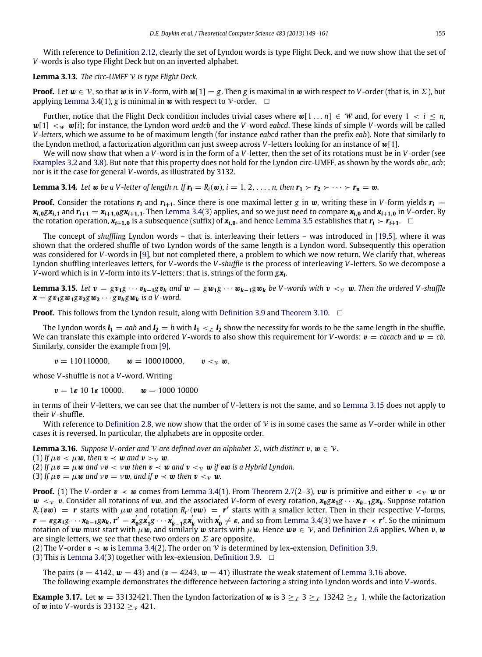With reference to [Definition](#page-4-6) [2.12,](#page-4-6) clearly the set of Lyndon words is type Flight Deck, and we now show that the set of *V*-words is also type Flight Deck but on an inverted alphabet.

**Lemma 3.13.** *The circ-UMFF* V *is type Flight Deck.*

**Proof.** Let  $w \in V$ , so that w is in *V*-form, with w[1] = *g*. Then *g* is maximal in w with respect to *V*-order (that is, in  $\Sigma$ ), but applying [Lemma](#page-5-0) [3.4\(](#page-5-0)1), *g* is minimal in *w* with respect to V-order.  $\Box$ 

Further, notice that the Flight Deck condition includes trivial cases where  $w[1 \dots n] \in W$  and, for every  $1 \le i \le n$ .  $w[1] < w$  w[i]; for instance, the Lyndon word *aedcb* and the *V*-word *eabcd*. These kinds of simple *V*-words will be called *V -letters*, which we assume to be of maximum length (for instance *eabcd* rather than the prefix *eab*). Note that similarly to the Lyndon method, a factorization algorithm can just sweep across *V*-letters looking for an instance of w[1].

We will now show that when a *V*-word is in the form of a *V*-letter, then the set of its rotations must be in *V*-order (see [Examples](#page-4-4) [3.2](#page-4-4) and [3.8\)](#page-6-3). But note that this property does not hold for the Lyndon circ-UMFF, as shown by the words *abc*, *acb*; nor is it the case for general *V*-words, as illustrated by 3132.

**Lemma 3.14.** Let w be a V-letter of length n. If  $r_i = R_i(w)$ ,  $i = 1, 2, \ldots, n$ , then  $r_1 > r_2 > \cdots > r_n = w$ .

**Proof.** Consider the rotations  $r_i$  and  $r_{i+1}$ . Since there is one maximal letter *g* in w, writing these in *V*-form yields  $r_i$  $x_{i,0}gx_{i,1}$  and  $r_{i+1} = x_{i+1,0}gx_{i+1,1}$ . Then [Lemma](#page-5-0) [3.4\(](#page-5-0)3) applies, and so we just need to compare  $x_{i,0}$  and  $x_{i+1,0}$  in V-order. By the rotation operation,  $x_{i+1,0}$  is a subsequence (suffix) of  $x_{i,0}$ , and hence [Lemma](#page-5-4) [3.5](#page-5-4) establishes that  $r_i > r_{i+1}$ .  $\Box$ 

The concept of *shuffling* Lyndon words – that is, interleaving their letters – was introduced in [\[19,](#page-13-5)[5\]](#page-13-22), where it was shown that the ordered shuffle of two Lyndon words of the same length is a Lyndon word. Subsequently this operation was considered for *V*-words in [\[9\]](#page-13-0), but not completed there, a problem to which we now return. We clarify that, whereas Lyndon shuffling interleaves letters, for *V*-words the *V -shuffle* is the process of interleaving *V*-letters. So we decompose a *V*-word which is in *V*-form into its *V*-letters; that is, strings of the form *gx<sup>i</sup>* .

<span id="page-7-1"></span>**Lemma 3.15.** Let  $v = gv_1g \cdots v_{k-1}gv_k$  and  $w = gw_1g \cdots w_{k-1}gw_k$  be V-words with  $v < v$  w. Then the ordered V-shuffle  $x = g v_1 g w_1 g v_2 g w_2 \cdots g v_k g w_k$  *is a V-word.* 

**Proof.** This follows from the Lyndon result, along with [Definition](#page-6-0) [3.9](#page-6-0) and [Theorem](#page-6-1) [3.10.](#page-6-1)  $\Box$ 

The Lyndon words  $l_1 = aab$  and  $l_2 = b$  with  $l_1 < l_2$  show the necessity for words to be the same length in the shuffle. We can translate this example into ordered *V*-words to also show this requirement for *V*-words:  $v =$  *cacacb* and  $w = cb$ . Similarly, consider the example from [\[9\]](#page-13-0),

 $v = 110110000, \quad w = 100010000, \quad v <_{V} w,$ 

whose *V*-shuffle is not a *V*-word. Writing

 $v = 1\varepsilon$  10 1 $\varepsilon$  10000,  $w = 1000$  10000

in terms of their *V*-letters, we can see that the number of *V*-letters is not the same, and so [Lemma](#page-7-1) [3.15](#page-7-1) does not apply to their *V*-shuffle.

With reference to [Definition](#page-3-4) [2.8,](#page-3-4) we now show that the order of V is in some cases the same as *V*-order while in other cases it is reversed. In particular, the alphabets are in opposite order.

<span id="page-7-0"></span>**Lemma 3.16.** *Suppose V*-order and *V* are defined over an alphabet  $\Sigma$ , with distinct  $v, w \in V$ .

(1) *If*  $\mu v < \mu w$ , then  $v < w$  and  $v > v w$ .

(2) If  $\mu v = \mu w$  and  $vv < vw$  then  $v \prec w$  and  $v < v w$  *if*  $vw$  *is a Hybrid Lyndon.* 

(3) *If*  $\mu v = \mu w$  *and*  $\nu v = \nu w$ *, and if*  $v \prec w$  *then*  $v \prec v$  *w.* 

**Proof.** (1) The *V*-order  $v \prec w$  comes from [Lemma](#page-5-0) [3.4\(](#page-5-0)1). From [Theorem](#page-3-5) [2.7\(](#page-3-5)2–3),  $vw$  is primitive and either  $v \prec v$  w or  $w <sub>v</sub>$  v. Consider all rotations of vw, and the associated *V*-form of every rotation,  $x_0gx_1g \cdots x_{k-1}gx_k$ . Suppose rotation  $R_r(vw) = r$  starts with  $\mu w$  and rotation  $R_{r'}(vw) = r'$  starts with a smaller letter. Then in their respective *V*-forms,  $r = \varepsilon g x_1 g \cdots x_{k-1} g x_k, r' = x'_0$ **0** *gx* ′  $\mathbf{y}_1' \mathbf{g} \cdots \mathbf{x}_l'$  $\int_{k-1}^{k} g x_k^{j}$  with  $x_0^{j}$  $\mathbf{v}'_{\mathbf{0}}\neq\mathbf{\varepsilon}$ , and so from [Lemma](#page-5-0) [3.4\(](#page-5-0)3) we have  $\mathbf{r}\prec\mathbf{r}'$ . So the minimum rotation of vw must start with  $\mu w$ , and similarly w starts with  $\mu w$ . Hence  $wv \in V$ , and [Definition](#page-3-6) [2.6](#page-3-6) applies. When v, w are single letters, we see that these two orders on  $\Sigma$  are opposite.

(2) The *V*-order  $v \prec w$  is [Lemma](#page-5-0) [3.4\(](#page-5-0)2). The order on *V* is determined by lex-extension, [Definition](#page-6-0) [3.9.](#page-6-0)

(3) This is [Lemma](#page-5-0) [3.4\(](#page-5-0)3) together with lex-extension, [Definition](#page-6-0) [3.9.](#page-6-0)  $\Box$ 

The pairs ( $v = 4142$ ,  $w = 43$ ) and ( $v = 4243$ ,  $w = 41$ ) illustrate the weak statement of [Lemma](#page-7-0) [3.16](#page-7-0) above. The following example demonstrates the difference between factoring a string into Lyndon words and into *V*-words.

**Example 3.17.** Let  $w = 33132421$ . Then the Lyndon factorization of w is  $3 \geq_{\ell} 3 \geq_{\ell} 13242 \geq_{\ell} 1$ , while the factorization of **w** into *V*-words is 33132  $>_{v}$  421.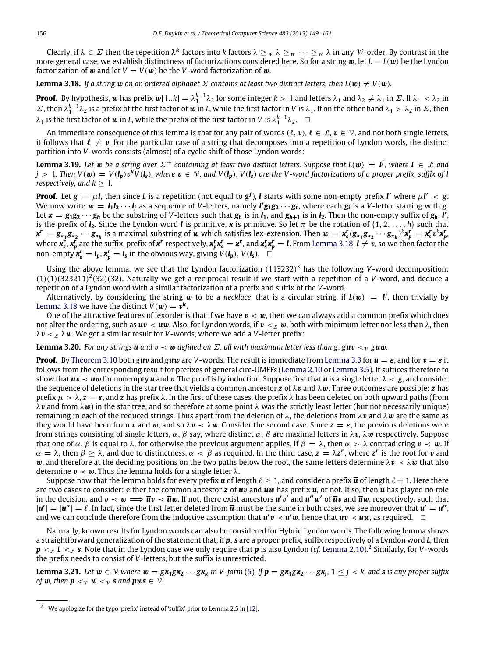Clearly, if  $\lambda\in\Sigma$  then the repetition  $\lambda^k$  factors into  $k$  factors  $\lambda\geq_W\lambda\geq_W\cdots\geq_W\lambda$  in any W-order. By contrast in the more general case, we establish distinctness of factorizations considered here. So for a string  $w$ , let  $L = L(w)$  be the Lyndon factorization of **w** and let  $V = V(w)$  be the *V*-word factorization of **w**.

<span id="page-8-0"></span>**Lemma 3.18.** *If a string* w on an ordered alphabet  $\Sigma$  contains at least two distinct letters, then  $L(\mathbf{w}) \neq V(\mathbf{w})$ .

**Proof.** By hypothesis, w has prefix  $w[1..k] = \lambda_1^{k-1} \lambda_2$  for some integer  $k > 1$  and letters  $\lambda_1$  and  $\lambda_2 \neq \lambda_1$  in  $\Sigma$ . If  $\lambda_1 < \lambda_2$  in  $Σ$ , then  $λ_1^{k-1}λ_2$  is a prefix of the first factor of w in *L*, while the first factor in *V* is  $λ_1$ . If on the other hand  $λ_1 > λ_2$  in  $Σ$ , then  $\lambda_1$  is the first factor of  $w$  in *L*, while the prefix of the first factor in *V* is  $\lambda_1^{k-1}\lambda_2$ .  $\Box$ 

An immediate consequence of this lemma is that for any pair of words  $(\ell, v), \ell \in \mathcal{L}, v \in \mathcal{V}$ , and not both single letters, it follows that  $\ell \neq v$ . For the particular case of a string that decomposes into a repetition of Lyndon words, the distinct partition into *V*-words consists (almost) of a cyclic shift of those Lyndon words:

**Lemma 3.19.** Let **w** be a string over  $\Sigma^+$  containing at least two distinct letters. Suppose that  $L(w) = V$ , where  $V \in L$  and  $j>1$ . Then  $V(\pmb{w})=V(\pmb{l_p})\pmb{v^k}V(\pmb{l_s})$ , where  $\pmb{v}\in\mathcal{V}$ , and  $V(\pmb{l_p}),V(\pmb{l_s})$  are the V-word factorizations of a proper prefix, suffix of  $\pmb{l}$ *respectively, and*  $k > 1$ *.* 

**Proof.** Let  $g = \mu$ **I**, then since *L* is a repetition (not equal to  $g^{j}$ ), **I** starts with some non-empty prefix **I'** where  $\mu$ **I'**  $< g$ . We now write  $w = l_1l_2\cdots l_j$  as a sequence of V-letters, namely  $l'g_1g_2\cdots g_t$ , where each  $g_i$  is a V-letter starting with g. Let  $x = g_1g_2\cdots g_h$  be the substring of V-letters such that  $g_h$  is in  $I_1$ , and  $g_{h+1}$  is in  $I_2$ . Then the non-empty suffix of  $g_h$ ,  $I'$ , is the prefix of  $I_2$ . Since the Lyndon word *l* is primitive, **x** is primitive. So let  $\pi$  be the rotation of  $\{1, 2, ..., h\}$  such that  $x^r=g_{\pi_1}g_{\pi_2}\cdots g_{\pi_h}$  is a maximal substring of  $w$  which satisfies lex-extension. Then  $w=x^r_{\rm s}(g_{\pi_1}g_{\pi_2}\cdots g_{\pi_h})^k x^r_p=x^r_{\rm s}v^k x^r_p$ where  $x_s^r$ ,  $x_p^r$  are the suffix, prefix of  $x^r$  respectively,  $x_p^rx_s^r=x^r$ , and  $x_s^rx_p^r=l$ . From [Lemma](#page-8-0) [3.18,](#page-8-0)  $l\neq v$ , so we then factor the non-empty  $\mathbf{x}_{s}^{r} = \mathbf{l}_{p}$ ,  $\mathbf{x}_{p}^{r} = \mathbf{l}_{s}$  in the obvious way, giving  $V(\mathbf{l}_{p})$ ,  $V(\mathbf{l}_{s})$ .

Using the above lemma, we see that the Lyndon factorization (113232) <sup>3</sup> has the following *V*-word decomposition:  $(1)(1)(323211)<sup>2</sup>(32)(32)$ . Naturally we get a reciprocal result if we start with a repetition of a *V*-word, and deduce a repetition of a Lyndon word with a similar factorization of a prefix and suffix of the *V*-word.

Alternatively, by considering the string  $w$  to be a *necklace*, that is a circular string, if  $L(w)~=~\vec{l'}$ , then trivially by [Lemma](#page-8-0) [3.18](#page-8-0) we have the distinct  $V(\boldsymbol{w}) = \boldsymbol{v}^{\boldsymbol{k}}$ .

One of the attractive features of lexorder is that if we have  $v < w$ , then we can always add a common prefix which does not alter the ordering, such as  $uv < uv$ . Also, for Lyndon words, if  $v <_x w$ , both with minimum letter not less than  $\lambda$ , then  $\lambda v <_{\mathcal{L}} \lambda w$ . We get a similar result for *V*-words, where we add a *V*-letter prefix:

**Lemma 3.20.** For any strings *u* and  $v \prec w$  defined on  $\Sigma$ , all with maximum letter less than g, g*u*  $\vee$ <sub>y</sub> g*u*w.

**Proof.** By [Theorem](#page-6-1) [3.10](#page-6-1) both *guv* and *guw* are *V*-words. The result is immediate from [Lemma](#page-5-1) [3.3](#page-5-1) for  $u = \varepsilon$ , and for  $v = \varepsilon$  it follows from the corresponding result for prefixes of general circ-UMFFs [\(Lemma](#page-4-7) [2.10](#page-4-7) or [Lemma](#page-5-4) [3.5\)](#page-5-4). It suffices therefore to show that  $uv \prec uw$  for nonempty *u* and *v*. The proof is by induction. Suppose first that *u* is a single letter  $\lambda < g$ , and consider the sequence of deletions in the star tree that yields a common ancestor *z* of λv and λw. Three outcomes are possible: *z* has prefix  $\mu > \lambda$ ,  $z = \varepsilon$ , and  $z$  has prefix  $\lambda$ . In the first of these cases, the prefix  $\lambda$  has been deleted on both upward paths (from  $\lambda v$  and from  $\lambda w$ ) in the star tree, and so therefore at some point  $\lambda$  was the strictly least letter (but not necessarily unique) remaining in each of the reduced strings. Thus apart from the deletion of  $\lambda$ , the deletions from  $\lambda v$  and  $\lambda w$  are the same as they would have been from v and w, and so  $\lambda v \prec \lambda w$ . Consider the second case. Since  $z = \varepsilon$ , the previous deletions were from strings consisting of single letters,  $\alpha$ ,  $\beta$  say, where distinct  $\alpha$ ,  $\beta$  are maximal letters in λv, λw respectively. Suppose that one of  $\alpha$ ,  $\beta$  is equal to  $\lambda$ , for otherwise the previous argument applies. If  $\beta = \lambda$ , then  $\alpha > \lambda$  contradicting  $v \prec w$ . If  $\alpha = \lambda$ , then  $\beta \ge \lambda$ , and due to distinctness,  $\alpha < \beta$  as required. In the third case,  $z = \lambda z^r$ , where  $z^r$  is the root for v and w, and therefore at the deciding positions on the two paths below the root, the same letters determine  $\lambda v \prec \lambda w$  that also determine  $v \prec w$ . Thus the lemma holds for a single letter  $\lambda$ .

Suppose now that the lemma holds for every prefix **u** of length  $\ell > 1$ , and consider a prefix **u** of length  $\ell + 1$ . Here there are two cases to consider: either the common ancestor  $z$  of  $\overline{u}v$  and  $\overline{u}w$  has prefix  $\overline{u}$ , or not. If so, then  $\overline{u}$  has played no role in the decision, and  $v \prec w \Longrightarrow \overline{u}v \prec \overline{u}w$ . If not, there exist ancestors  $u'v'$  and  $u''w'$  of  $\overline{u}v$  and  $\overline{u}w$ , respectively, such that  $|u'| = |u''| = \ell$ . In fact, since the first letter deleted from  $\bar{u}$  must be the same in both cases, we see moreover that  $u' = u''$ , and we can conclude therefore from the inductive assumption that  $u'v \prec u'w$ , hence that  $uv \prec uw$ , as required.  $□$ 

Naturally, known results for Lyndon words can also be considered for Hybrid Lyndon words. The following lemma shows a straightforward generalization of the statement that, if *p*, *s* are a proper prefix, suffix respectively of a Lyndon word *L*, then  $\bm{p} <_\mathcal{L} L <_\mathcal{L} \bm{s}.$  Note that in the Lyndon case we only require that  $\bm{p}$  is also Lyndon (*cf.* [Lemma](#page-4-7) [2.10\)](#page-4-7). $^2$  $^2$  Similarly, for V-words the prefix needs to consist of *V*-letters, but the suffix is unrestricted.

**Lemma 3.21.** Let  $w \in V$  where  $w = g x_1 g x_2 \cdots g x_k$  in V-form [\(5\)](#page-6-2). If  $p = g x_1 g x_2 \cdots g x_j$ ,  $1 \le j < k$ , and **s** is any proper suffix *of w*, then **p**  $\lt_{\mathcal{V}}$  *w*  $\lt_{\mathcal{V}}$  *s* and **pws**  $\in \mathcal{V}$ *.* 

<span id="page-8-1"></span><sup>2</sup> We apologize for the typo 'prefix' instead of 'suffix' prior to Lemma 2.5 in [\[12\]](#page-13-2).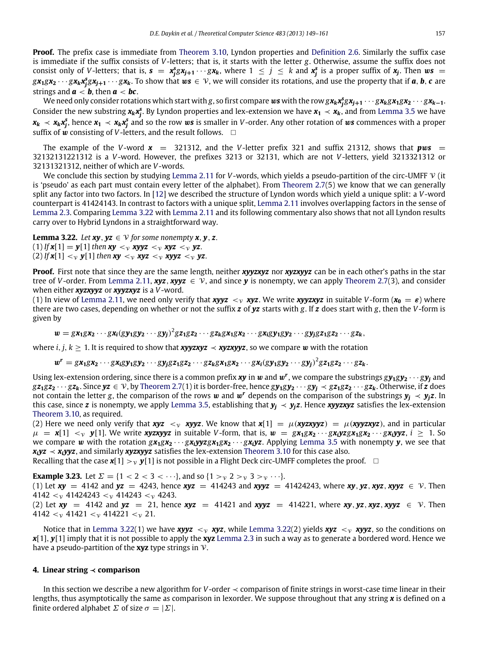**Proof.** The prefix case is immediate from [Theorem](#page-6-1) [3.10,](#page-6-1) Lyndon properties and [Definition](#page-3-6) [2.6.](#page-3-6) Similarly the suffix case is immediate if the suffix consists of *V*-letters; that is, it starts with the letter *g*. Otherwise, assume the suffix does not consist only of *V*-letters; that is,  $s = x_j^s g x_{j+1} \cdots g x_k$ , where  $1 \le j \le k$  and  $x_j^s$  is a proper suffix of  $x_j$ . Then  $ws =$  $g\bm{x_1}gx_2\cdots g\bm{x_k}\bm{x_j^s}gx_{j+1}\cdots g\bm{x_k}.$  To show that  $ws\in\mathcal{V}$ , we will consider its rotations, and use the property that if  $a,b,c$  are strings and  $\mathbf{a} \leq \mathbf{b}$ , then  $\mathbf{a} < \mathbf{b}$ c.

We need only consider rotations which start with g, so first compare  $ws$  with the row  $gx_kx_j^sgx_{j+1}\cdots gx_kgx_1gx_2\cdots gx_{k-1}.$ Consider the new substring  $x_k x_j^s$ . By Lyndon properties and lex-extension we have  $x_1 \prec x_k$ , and from [Lemma](#page-5-4) [3.5](#page-5-4) we have  $x_k \prec x_k x_j^s$ , hence  $x_1 \prec x_k x_j^s$  and so the row  $ws$  is smaller in V-order. Any other rotation of  $ws$  commences with a proper suffix of  $\dot{w}$  consisting of *V*-letters, and the result follows.  $\Box$ 

The example of the *V*-word  $x = 321312$ , and the *V*-letter prefix 321 and suffix 21312, shows that  $pws =$ 32132131221312 is a *V*-word. However, the prefixes 3213 or 32131, which are not *V*-letters, yield 3213321312 or 32131321312, neither of which are *V*-words.

We conclude this section by studying [Lemma](#page-4-1) [2.11](#page-4-1) for *V*-words, which yields a pseudo-partition of the circ-UMFF V (it is 'pseudo' as each part must contain every letter of the alphabet). From [Theorem](#page-3-5) [2.7\(](#page-3-5)5) we know that we can generally split any factor into two factors. In [\[12\]](#page-13-2) we described the structure of Lyndon words which yield a unique split: a *V*-word counterpart is 41424143. In contrast to factors with a unique split, [Lemma](#page-4-1) [2.11](#page-4-1) involves overlapping factors in the sense of [Lemma](#page-3-3) [2.3.](#page-3-3) Comparing [Lemma](#page-9-1) [3.22](#page-9-1) with [Lemma](#page-4-1) [2.11](#page-4-1) and its following commentary also shows that not all Lyndon results carry over to Hybrid Lyndons in a straightforward way.

<span id="page-9-1"></span>**Lemma 3.22.** *Let*  $xy, yz \in V$  *for some nonempty*  $x, y, z$ *.* (1) *If*  $x[1] = y[1]$  *then*  $xy < y$  *xyyz*  $\langle y \rangle$  *xyz*  $\langle y \rangle$  *yz.* (2) If  $x[1] < y$   $y[1]$  then  $xy < y$   $xyz < y$   $xyyz < y$   $yz$ .

**Proof.** First note that since they are the same length, neither *xyyzxyz* nor *xyzxyyz* can be in each other's paths in the star tree of *V*-order. From [Lemma](#page-4-1) [2.11,](#page-4-1) *xyz*, *xyyz*  $\in$  *V*, and since *y* is nonempty, we can apply [Theorem](#page-3-5) [2.7\(](#page-3-5)3), and consider when either *xyzxyyz* or *xyyzxyz* is a *V*-word.

(1) In view of [Lemma](#page-4-1) [2.11,](#page-4-1) we need only verify that *xyyz*  $\lt y$  *xyz*. We write *xyyzxyz* in suitable *V*-form ( $x_0 = \varepsilon$ ) where there are two cases, depending on whether or not the suffix *z* of *yz* starts with *g*. If *z* does start with *g*, then the *V*-form is given by

$$
w = g x_1 g x_2 \cdots g x_i (g y_1 g y_2 \cdots g y_j)^2 g z_1 g z_2 \cdots g z_k g x_1 g x_2 \cdots g x_i g y_1 g y_2 \cdots g y_j g z_1 g z_2 \cdots g z_k,
$$

where *i*, *j*,  $k \geq 1$ . It is required to show that *xyyzxyz*  $\prec$  *xyzxyyz*, so we compare w with the rotation

 $w^r = g\mathbf{x}_1 g\mathbf{x}_2 \cdots g\mathbf{x}_i g\mathbf{y}_1 g\mathbf{y}_2 \cdots g\mathbf{y}_j g\mathbf{z}_1 g\mathbf{z}_2 \cdots g\mathbf{z}_k g\mathbf{x}_1 g\mathbf{x}_2 \cdots g\mathbf{x}_i (g\mathbf{y}_1 g\mathbf{y}_2 \cdots g\mathbf{y}_j)^2 g\mathbf{z}_1 g\mathbf{z}_2 \cdots g\mathbf{z}_k.$ 

Using lex-extension ordering, since there is a common prefix **xy** in  $w$  and  $w^r$ , we compare the substrings  $gy_1gy_2\cdots gy_j$  and  $gz_1gz_2\cdots gz_k$ . Since  $yz \in V$ , by [Theorem](#page-3-5) [2.7\(](#page-3-5)1) it is border-free, hence  $gy_1gy_2\cdots gy_i \prec gz_1gz_2\cdots gz_k$ . Otherwise, if z does not contain the letter *g*, the comparison of the rows w and w<sup>r</sup> depends on the comparison of the substrings  $y_i \leq y_i z$ . In this case, since *z* is nonempty, we apply [Lemma](#page-5-4) [3.5,](#page-5-4) establishing that  $y_i$  ≺  $y_i$ *z*. Hence *xyyzxyz* satisfies the lex-extension [Theorem](#page-6-1) [3.10,](#page-6-1) as required.

(2) Here we need only verify that *xyz*  $\langle v \rangle$  *xyyz*. We know that  $x[1] = \mu(xyzxyyz) = \mu(xyzxyz)$ , and in particular  $\mu = x[1] < y$  y[1]. We write xyzxyyz in suitable V-form, that is,  $w = gx_1gx_2 \cdots gx_kyzgx_1gx_2 \cdots gx_kyyz$ ,  $i \ge 1$ . So we compare w with the rotation  $gx_1gx_2 \cdots gx_iyyzgx_1gx_2 \cdots gx_iyz$ . Applying [Lemma](#page-5-4) [3.5](#page-5-4) with nonempty y, we see that *x*<sub>i</sub>*yz* ≺ *x*<sub>i</sub>*yyz*, and similarly *xyzxyyz* satisfies the lex-extension [Theorem](#page-6-1) [3.10](#page-6-1) for this case also.

Recalling that the case  $x[1] > y$  *y*[1] is not possible in a Flight Deck circ-UMFF completes the proof.  $\Box$ 

**Example 3.23.** Let  $\Sigma = \{1 < 2 < 3 < \cdots\}$ , and so  $\{1 > \nu 2 > \nu 3 > \nu \cdots\}$ . (1) Let  $xy = 4142$  and  $yz = 4243$ , hence  $xyz = 414243$  and  $xyyz = 41424243$ , where  $xy$ ,  $yz$ ,  $xyz$ ,  $xyyz \in V$ . Then 4142  $\lt_V$  41424243  $\lt_V$  414243  $\lt_V$  4243. (2) Let  $xy = 4142$  and  $yz = 21$ , hence  $xyz = 41421$  and  $xyyz = 414221$ , where  $xy, yz, xyz, xyz \in V$ . Then 4142  $\langle \sqrt{0} \times 41421 \times \sqrt{0} \times 414221 \times \sqrt{0} \times 21.$ 

Notice that in [Lemma](#page-9-1) [3.22\(](#page-9-1)1) we have *xyyz*  $\lt y$  *xyz*, while Lemma 3.22(2) yields *xyz*  $\lt y$  *xyyz*, so the conditions on *x*[1], *y*[1] imply that it is not possible to apply the **xyz** [Lemma](#page-3-3) [2.3](#page-3-3) in such a way as to generate a bordered word. Hence we have a pseudo-partition of the **xyz** type strings in V.

# <span id="page-9-0"></span>**4. Linear string** ≺ **comparison**

In this section we describe a new algorithm for *V*-order ≺ comparison of finite strings in worst-case time linear in their lengths, thus asymptotically the same as comparison in lexorder. We suppose throughout that any string *x* is defined on a finite ordered alphabet  $\Sigma$  of size  $\sigma = |\Sigma|$ .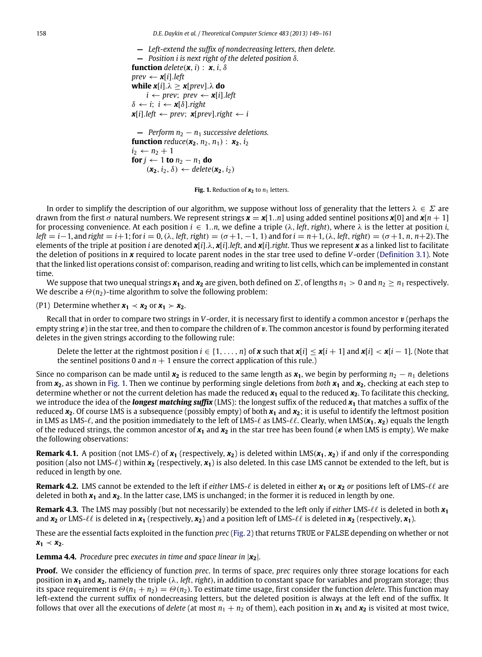<span id="page-10-0"></span>**—** *Left-extend the suffix of nondecreasing letters, then delete.* **—** *Position i is next right of the deleted position* δ*.* **function**  $delete(x, i) : x, i, \delta$  $prev \leftarrow \mathbf{x}[i].left$ **while**  $x[i] \cdot \lambda \geq x[prev] \cdot \lambda$  **do**  $i \leftarrow \text{prev}$ ;  $\text{prev} \leftarrow \textbf{x}[i].\text{left}$  $\delta \leftarrow i$ ;  $i \leftarrow \mathbf{x}[\delta]$ .*right*  $\mathbf{x}[i]$ .*left* ← *prev*;  $\mathbf{x}[prev]$ .*right* ← *i*  $\blacksquare$  **Perform**  $n_2 - n_1$  **successive deletions. function** *reduce*( $x_2$ ,  $n_2$ ,  $n_1$ ) :  $x_2$ ,  $i_2$  $i_2 \leftarrow n_2 + 1$ 

**for** *j* ← 1 **to**  $n_2 - n_1$  **do** 

 $(\mathbf{x}_2, i_2, \delta) \leftarrow$  *delete* $(\mathbf{x}_2, i_2)$ 

**Fig. 1.** Reduction of  $x_2$  to  $n_1$  letters.

In order to simplify the description of our algorithm, we suppose without loss of generality that the letters  $\lambda \in \Sigma$  are drawn from the first  $\sigma$  natural numbers. We represent strings  $x = x[1..n]$  using added sentinel positions  $x[0]$  and  $x[n+1]$ for processing convenience. At each position  $i \in 1..n$ , we define a triple  $(\lambda, left, right)$ , where  $\lambda$  is the letter at position *i*,  $left = i - 1$ , and *right* =  $i + 1$ ; for  $i = 0$ , ( $\lambda$ , *left*, *right*) = ( $\sigma + 1$ ,  $-1$ , 1) and for  $i = n + 1$ , ( $\lambda$ , *left*, *right*) = ( $\sigma + 1$ , *n*,  $n+2$ ). The elements of the triple at position *i* are denoted *x*[*i*].λ, *x*[*i*].*left*, and *x*[*i*].*right*. Thus we represent *x* as a linked list to facilitate the deletion of positions in *x* required to locate parent nodes in the star tree used to define *V*-order [\(Definition](#page-4-8) [3.1\)](#page-4-8). Note that the linked list operations consist of: comparison, reading and writing to list cells, which can be implemented in constant time.

We suppose that two unequal strings  $x_1$  and  $x_2$  are given, both defined on  $\Sigma$ , of lengths  $n_1 > 0$  and  $n_2 > n_1$  respectively. We describe a  $\Theta(n_2)$ -time algorithm to solve the following problem:

(P1) Determine whether  $x_1 \prec x_2$  or  $x_1 \succ x_2$ .

Recall that in order to compare two strings in *V*-order, it is necessary first to identify a common ancestor v (perhaps the empty string  $\varepsilon$ ) in the star tree, and then to compare the children of v. The common ancestor is found by performing iterated deletes in the given strings according to the following rule:

Delete the letter at the rightmost position  $i \in \{1, \ldots, n\}$  of **x** such that  $x[i] \le x[i+1]$  and  $x[i] \le x[i-1]$ . (Note that the sentinel positions 0 and  $n + 1$  ensure the correct application of this rule.)

Since no comparison can be made until  $x_2$  is reduced to the same length as  $x_1$ , we begin by performing  $n_2 - n_1$  deletions from *x***2**, as shown in [Fig.](#page-10-0) [1.](#page-10-0) Then we continue by performing single deletions from *both x***<sup>1</sup>** and *x***2**, checking at each step to determine whether or not the current deletion has made the reduced *x***<sup>1</sup>** equal to the reduced *x***2**. To facilitate this checking, we introduce the idea of the *longest matching suffix* (LMS): the longest suffix of the reduced *x***<sup>1</sup>** that matches a suffix of the reduced  $x_2$ . Of course LMS is a subsequence (possibly empty) of both  $x_1$  and  $x_2$ ; it is useful to identify the leftmost position in LMS as LMS-ℓ, and the position immediately to the left of LMS-ℓ as LMS-ℓℓ. Clearly, when LMS(*x***1**, *x***2**) equals the length of the reduced strings, the common ancestor of  $x_1$  and  $x_2$  in the star tree has been found ( $\varepsilon$  when LMS is empty). We make the following observations:

**Remark 4.1.** A position (not LMS- $\ell$ ) of  $x_1$  (respectively,  $x_2$ ) is deleted within LMS( $x_1$ ,  $x_2$ ) if and only if the corresponding position (also not LMS-ℓ) within *x***<sup>2</sup>** (respectively, *x***1**) is also deleted. In this case LMS cannot be extended to the left, but is reduced in length by one.

<span id="page-10-1"></span>**Remark 4.2.** LMS cannot be extended to the left if *either* LMS- $\ell$  is deleted in either  $x_1$  or  $x_2$  *or* positions left of LMS- $\ell\ell$  are deleted in both *x***<sup>1</sup>** and *x***2**. In the latter case, LMS is unchanged; in the former it is reduced in length by one.

<span id="page-10-2"></span>**Remark 4.3.** The LMS may possibly (but not necessarily) be extended to the left only if *either* LMS-ℓℓ is deleted in both *x***<sup>1</sup>** and  $x_2$  *or* LMS- $\ell\ell$  is deleted in  $x_1$  (respectively,  $x_2$ ) and a position left of LMS- $\ell\ell$  is deleted in  $x_2$  (respectively,  $x_1$ ).

These are the essential facts exploited in the function *prec* [\(Fig.](#page-11-1) [2\)](#page-11-1) that returns TRUE or FALSE depending on whether or not  $x_1 \prec x_2$ .

**Lemma 4.4.** *Procedure* prec *executes in time and space linear in* |*x***2**|*.*

**Proof.** We consider the efficiency of function *prec*. In terms of space, *prec* requires only three storage locations for each position in *x***<sup>1</sup>** and *x***2**, namely the triple (λ, *left*,*right*), in addition to constant space for variables and program storage; thus its space requirement is  $\Theta(n_1 + n_2) = \Theta(n_2)$ . To estimate time usage, first consider the function *delete*. This function may left-extend the current suffix of nondecreasing letters, but the deleted position is always at the left end of the suffix. It follows that over all the executions of *delete* (at most  $n_1 + n_2$  of them), each position in  $x_1$  and  $x_2$  is visited at most twice,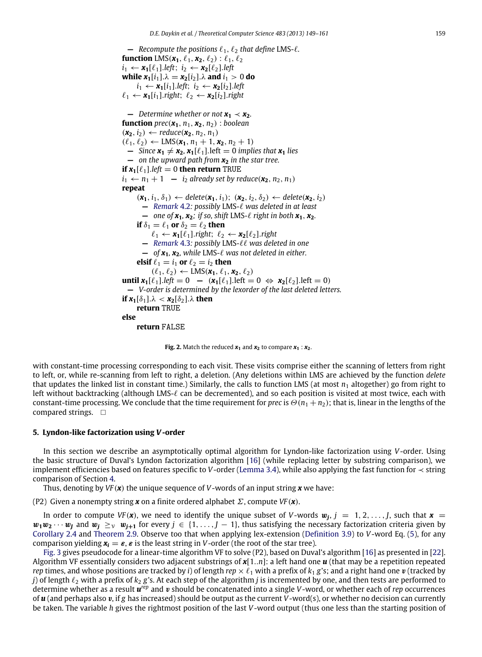<span id="page-11-1"></span> $\blacksquare$  *Recompute the positions*  $\ell_1, \ell_2$  *that define LMS-* $\ell$ *.* **function** LMS $(x_1, \ell_1, x_2, \ell_2)$ :  $\ell_1, \ell_2$  $i_1 \leftarrow \mathbf{x}_1[\ell_1].$ *left*;  $i_2 \leftarrow \mathbf{x}_2[\ell_2].$ *left* **while**  $x_1[i_1] \ldotp \lambda = x_2[i_2] \ldotp \lambda$  and  $i_1 > 0$  do  $i_1 \leftarrow x_1[i_1].$ *left*;  $i_2 \leftarrow x_2[i_2].$ *left* ℓ<sup>1</sup> ← *x***1**[*i*1].*right*; ℓ<sup>2</sup> ← *x***2**[*i*2].*right*  $\blacktriangleright$  *Determine whether or not*  $\mathbf{x}_1 \prec \mathbf{x}_2$ *.* **function**  $prec(\mathbf{x}_1, n_1, \mathbf{x}_2, n_2)$ : boolean  $(\mathbf{x}_2, i_2) \leftarrow \text{reduce}(\mathbf{x}_2, n_2, n_1)$  $(\ell_1, \ell_2) \leftarrow \text{LMS}(\mathbf{x}_1, n_1 + 1, \mathbf{x}_2, n_2 + 1)$  $\blacksquare$  *Since*  $x_1 \neq x_2$ ,  $x_1[\ell_1].$  left  $\blacksquare$  0 *implies that*  $x_1$  *lies* **—** *on the upward path from x***<sup>2</sup>** *in the star tree.* **if**  $x_1[\ell_1].$ *left* = 0 **then return** TRUE  $i_1 \leftarrow n_1 + 1$  **—** *i*<sub>2</sub> *already set by reduce*( $\mathbf{x}_2, n_2, n_1$ ) **repeat**  $(\mathbf{x}_1, i_1, \delta_1) \leftarrow$  *delete* $(\mathbf{x}_1, i_1); (\mathbf{x}_2, i_2, \delta_2) \leftarrow$  *delete* $(\mathbf{x}_2, i_2)$ **—** *[Remark](#page-10-1)* [4.2](#page-10-1)*: possibly* LMS*-*ℓ *was deleted in at least*  $\sim$  one of  $x_1, x_2$ ; if so, shift LMS- $\ell$  right in both  $x_1, x_2$ . **if**  $\delta_1 = \ell_1$  **or**  $\delta_2 = \ell_2$  **then** ℓ<sup>1</sup> ← *x***1**[ℓ1].*right*; ℓ<sup>2</sup> ← *x***2**[ℓ2].*right* **—** *[Remark](#page-10-2)* [4.3](#page-10-2)*: possibly* LMS*-*ℓℓ *was deleted in one* **—** *of x***1***, x***2***, while* LMS*-*ℓ *was not deleted in either.* **elsif**  $\ell_1 = i_1$  **or**  $\ell_2 = i_2$  **then**  $(\ell_1, \ell_2) \leftarrow \text{LMS}(\mathbf{x}_1, \ell_1, \mathbf{x}_2, \ell_2)$ **until**  $x_1[\ell_1].$ *left* = 0 − ( $x_1[\ell_1].$ left = 0 ⇔  $x_2[\ell_2].$ left = 0) **—** *V-order is determined by the lexorder of the last deleted letters.* **if**  $x_1[\delta_1] \cdot \lambda < x_2[\delta_2] \cdot \lambda$  **then return** TRUE **else return** FALSE

**Fig. 2.** Match the reduced  $x_1$  and  $x_2$  to compare  $x_1$  :  $x_2$ .

with constant-time processing corresponding to each visit. These visits comprise either the scanning of letters from right to left, or, while re-scanning from left to right, a deletion. (Any deletions within LMS are achieved by the function *delete* that updates the linked list in constant time.) Similarly, the calls to function LMS (at most  $n_1$  altogether) go from right to left without backtracking (although LMS- $\ell$  can be decremented), and so each position is visited at most twice, each with constant-time processing. We conclude that the time requirement for *prec* is  $\Theta(n_1 + n_2)$ ; that is, linear in the lengths of the compared strings.  $\square$ 

#### <span id="page-11-0"></span>**5. Lyndon-like factorization using** *V***-order**

In this section we describe an asymptotically optimal algorithm for Lyndon-like factorization using *V*-order. Using the basic structure of Duval's Lyndon factorization algorithm [\[16\]](#page-13-4) (while replacing letter by substring comparison), we implement efficiencies based on features specific to *V*-order [\(Lemma](#page-5-0) [3.4\)](#page-5-0), while also applying the fast function for ≺ string comparison of Section [4.](#page-9-0)

Thus, denoting by *VF* (*x*) the unique sequence of *V*-words of an input string *x* we have:

(P2) Given a nonempty string *x* on a finite ordered alphabet Σ, compute *VF* (*x*).

In order to compute *VF*( $x$ ), we need to identify the unique subset of *V*-words  $w_j$ ,  $j = 1, 2, ..., J$ , such that  $x =$  $w_1w_2 \cdots w_l$  and  $w_i \geq v w_{i+1}$  for every  $j \in \{1, \ldots, J-1\}$ , thus satisfying the necessary factorization criteria given by [Corollary](#page-3-2) [2.4](#page-3-2) and [Theorem](#page-4-5) [2.9.](#page-4-5) Observe too that when applying lex-extension [\(Definition](#page-6-0) [3.9\)](#page-6-0) to *V*-word Eq. [\(5\)](#page-6-2), for any comparison yielding  $x_i = \varepsilon$ ,  $\varepsilon$  is the least string in *V*-order (the root of the star tree).

[Fig.](#page-12-0) [3](#page-12-0) gives pseudocode for a linear-time algorithm VF to solve (P2), based on Duval's algorithm [\[16\]](#page-13-4) as presented in [\[22\]](#page-13-6). Algorithm VF essentially considers two adjacent substrings of *x*[1..*n*]: a left hand one *u* (that may be a repetition repeated *rep* times, and whose positions are tracked by *i*) of length *rep*  $\times \ell_1$  with a prefix of  $k_1$  *g*'s; and a right hand one *v* (tracked by *j*) of length ℓ<sup>2</sup> with a prefix of *k*<sup>2</sup> *g*'s. At each step of the algorithm *j* is incremented by one, and then tests are performed to determine whether as a result  $u^{rep}$  and v should be concatenated into a single V-word, or whether each of *rep* occurrences of *u* (and perhaps also v, if *g* has increased) should be output as the current *V*-word(s), or whether no decision can currently be taken. The variable *h* gives the rightmost position of the last *V*-word output (thus one less than the starting position of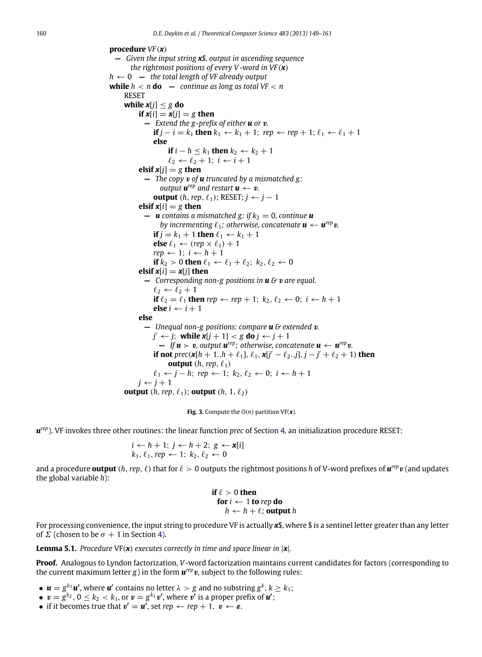<span id="page-12-0"></span>**procedure** *VF* (*x*) **—** *Given the input string x\$, output in ascending sequence the rightmost positions of every V -word in VF* (*x*)  $h \leftarrow 0$  – *the total length of VF already output* **while**  $h < n$  **do**  $-$  *continue as long as total VF*  $< n$ RESET **while**  $x[j] \leq g$  **do if**  $x[i] = x[i] = g$  **then —** *Extend the g-prefix of either u or* v*.* **if**  $j - i = k_1$  **then**  $k_1 \leftarrow k_1 + 1$ ;  $rep \leftarrow rep + 1$ ;  $\ell_1 \leftarrow \ell_1 + 1$ **else if**  $i - h \leq k_1$  **then**  $k_2 \leftarrow k_2 + 1$  $\ell_2 \leftarrow \ell_2 + 1; i \leftarrow i + 1$ **elsif**  $x[i] = g$  **then —** *The copy* v *of u truncated by a mismatched g : output*  $\boldsymbol{u}^{\text{rep}}$  and restart  $\boldsymbol{u} \leftarrow \boldsymbol{v}$ . **output** (*h*, *rep*,  $\ell_1$ ); RESET; *j* ← *j* − 1 **elsif**  $x[i] = g$  **then**  $\blacksquare$  **u** contains a mismatched g: if  $k_2 = 0$ , continue **u** *by incrementing*  $\ell_1$ ; otherwise, concatenate  $\boldsymbol{u} \leftarrow \boldsymbol{u}^{rep} \boldsymbol{v}$ . **if**  $j = k_1 + 1$  **then**  $\ell_1 \leftarrow k_1 + 1$ **else**  $\ell_1 \leftarrow (rep \times \ell_1) + 1$  $rep \leftarrow 1; i \leftarrow h + 1$ **if**  $k_2 > 0$  **then**  $\ell_1 \leftarrow \ell_1 + \ell_2$ ;  $k_2, \ell_2 \leftarrow 0$ **elsif**  $x[i] = x[i]$  **then —** *Corresponding non-g positions in u &* v *are equal.*  $\ell_2 \leftarrow \ell_2 + 1$ **if**  $\ell_2 = \ell_1$  **then**  $rep \leftarrow rep + 1$ ;  $k_2, \ell_2 \leftarrow 0$ ;  $i \leftarrow h + 1$ **else**  $i$  ←  $i$  + 1 **else —** *Unequal non-g positions: compare u & extended* v*.*  $j' \leftarrow j$ ; while  $x[j+1] < g$  do  $j \leftarrow j+1$  $-$  *If*  $u > v$ , output  $u^{rep}$ ; otherwise, concatenate  $u \leftarrow u^{rep}v$ . **if not**  $\text{prec}(\mathbf{x}[h+1..h+\ell_1], \ell_1, \mathbf{x}[j'-\ell_2..j], j-j'+\ell_2+1)$  then **output**  $(h, rep, \ell_1)$  $\ell_1$  ← *j* − *h*; *rep* ← 1;  $k_2$ ,  $\ell_2$  ← 0; *i* ← *h* + 1  $j \leftarrow j + 1$ **output**  $(h, rep, \ell_1)$ ; **output**  $(h, 1, \ell_2)$ 

**Fig. 3.** Compute the  $O(n)$  partition VF( $\boldsymbol{x}$ ).

*u rep*). VF invokes three other routines: the linear function *prec* of Section [4,](#page-9-0) an initialization procedure RESET:

$$
i \leftarrow h + 1; j \leftarrow h + 2; g \leftarrow \mathbf{x}[i]
$$
  

$$
k_1, \ell_1, rep \leftarrow 1; k_2, \ell_2 \leftarrow 0
$$

and a procedure **output** (*h*,*rep*, ℓ) that for ℓ > 0 outputs the rightmost positions *h* of V-word prefixes of *u rep*v (and updates the global variable *h*):

if 
$$
\ell > 0
$$
 then  
for  $i \leftarrow 1$  to rep do  
 $h \leftarrow h + \ell$ ; output h

For processing convenience, the input string to procedure VF is actually *x*\$, where \$ is a sentinel letter greater than any letter of  $\Sigma$  (chosen to be  $\sigma + 1$  in Section [4\)](#page-9-0).

**Lemma 5.1.** *Procedure* VF(*x*) *executes correctly in time and space linear in* |*x*|*.*

**Proof.** Analogous to Lyndon factorization, *V*-word factorization maintains current candidates for factors (corresponding to the current maximum letter  $g$ ) in the form  $\mathbf{u}^{rep}$  v, subject to the following rules:

- $\boldsymbol{u} = g^{k_1} \boldsymbol{u}'$ , where  $\boldsymbol{u}'$  contains no letter  $\lambda > g$  and no substring  $g^k, k \geq k_1$ ;
- $\bullet \;\; \pmb{v} = \bar{g}^{k_2}, \, 0 \leq k_2 < k_1, \, \text{or} \; \pmb{v} = g^{k_1} \pmb{v}'$ , where  $\bar{\pmb{v}'}$  is a proper prefix of  $\pmb{u}'$ ;
- if it becomes true that  $v' = u'$ , set  $rep \leftarrow rep + 1, v \leftarrow \varepsilon$ .